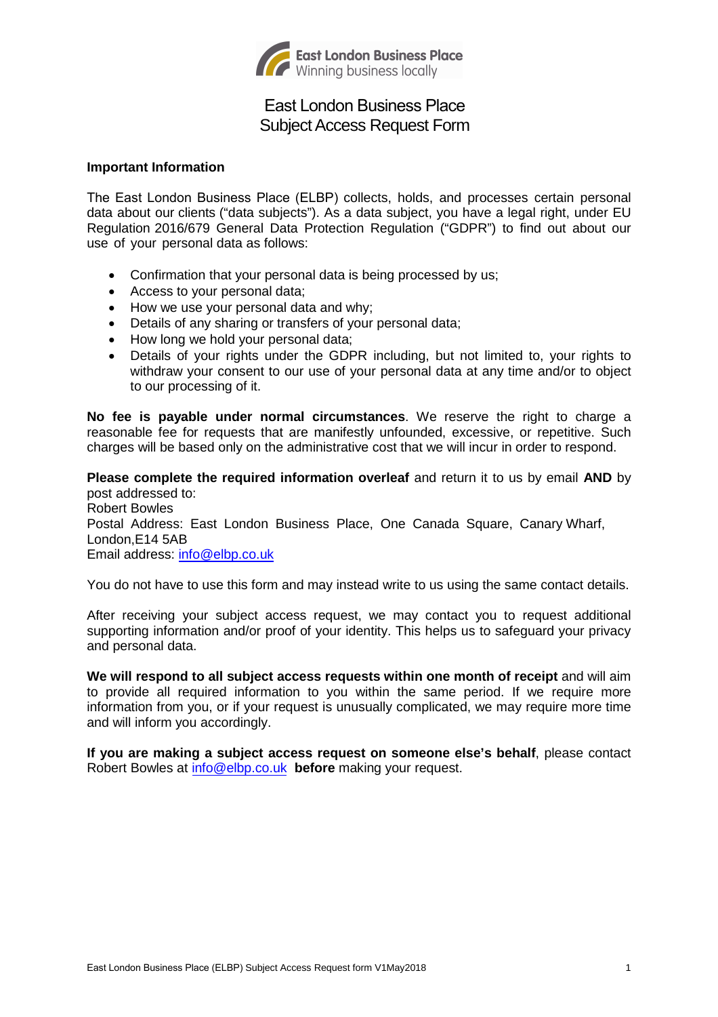

## East London Business Place Subject Access Request Form

#### **Important Information**

The East London Business Place (ELBP) collects, holds, and processes certain personal data about our clients ("data subjects"). As a data subject, you have a legal right, under EU Regulation 2016/679 General Data Protection Regulation ("GDPR") to find out about our use of your personal data as follows:

- Confirmation that your personal data is being processed by us;
- Access to your personal data;
- How we use your personal data and why;
- Details of any sharing or transfers of your personal data;
- How long we hold your personal data;
- Details of your rights under the GDPR including, but not limited to, your rights to withdraw your consent to our use of your personal data at any time and/or to object to our processing of it.

**No fee is payable under normal circumstances**. We reserve the right to charge a reasonable fee for requests that are manifestly unfounded, excessive, or repetitive. Such charges will be based only on the administrative cost that we will incur in order to respond.

**Please complete the required information overleaf** and return it to us by email **AND** by post addressed to: Robert Bowles Postal Address: East London Business Place, One Canada Square, Canary Wharf, London,E14 5AB Email address: [info@elbp.co.uk](mailto:info@elbp.co.uk)

You do not have to use this form and may instead write to us using the same contact details.

After receiving your subject access request, we may contact you to request additional supporting information and/or proof of your identity. This helps us to safeguard your privacy and personal data.

**We will respond to all subject access requests within one month of receipt** and will aim to provide all required information to you within the same period. If we require more information from you, or if your request is unusually complicated, we may require more time and will inform you accordingly.

**If you are making a subject access request on someone else's behalf**, please contact Robert Bowles at [info@elbp.co.uk](mailto:info@elbp.co.uk) **before** making your request.